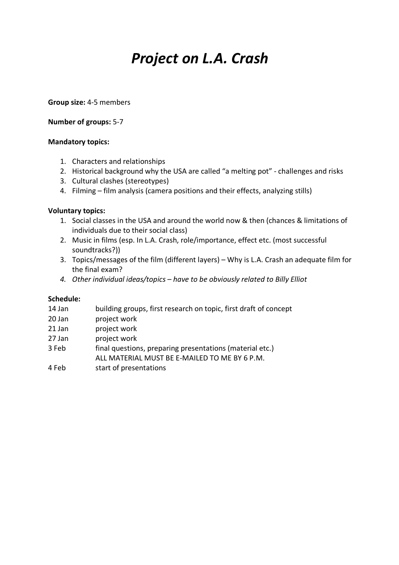# *Project on L.A. Crash*

#### **Group size:** 4-5 members

# **Number of groups:** 5-7

# **Mandatory topics:**

- 1. Characters and relationships
- 2. Historical background why the USA are called "a melting pot" challenges and risks
- 3. Cultural clashes (stereotypes)
- 4. Filming film analysis (camera positions and their effects, analyzing stills)

# **Voluntary topics:**

- 1. Social classes in the USA and around the world now & then (chances & limitations of individuals due to their social class)
- 2. Music in films (esp. In L.A. Crash, role/importance, effect etc. (most successful soundtracks?))
- 3. Topics/messages of the film (different layers) Why is L.A. Crash an adequate film for the final exam?
- *4. Other individual ideas/topics – have to be obviously related to Billy Elliot*

#### **Schedule:**

- 14 Jan building groups, first research on topic, first draft of concept
- 20 Jan project work
- 21 Jan project work
- 27 Jan project work
- 3 Feb final questions, preparing presentations (material etc.)
- ALL MATERIAL MUST BE E-MAILED TO ME BY 6 P.M.
- 4 Feb start of presentations